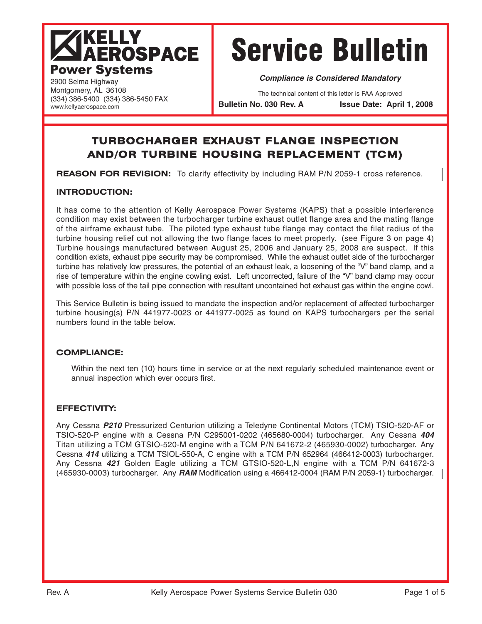# **IKELLY AEROSPACE Power Systems**

(334) 386-5400 (334) 386-5450 FAX

# Service Bulletin

**Compliance is Considered Mandatory**

The technical content of this letter is FAA Approved

**Bulletin No. 030 Rev. A Issue Date: April 1, 2008**

# **TURBOCHARGER EXHAUST FLANGE INSPECTION AND/OR TURBINE HOUSING REPLACEMENT (TCM)**

**REASON FOR REVISION:** To clarify effectivity by including RAM P/N 2059-1 cross reference.

# **INTRODUCTION:**

2900 Selma Highway Montgomery, AL 36108

www.kellyaerospace.com

It has come to the attention of Kelly Aerospace Power Systems (KAPS) that a possible interference condition may exist between the turbocharger turbine exhaust outlet flange area and the mating flange of the airframe exhaust tube. The piloted type exhaust tube flange may contact the filet radius of the turbine housing relief cut not allowing the two flange faces to meet properly. (see Figure 3 on page 4) Turbine housings manufactured between August 25, 2006 and January 25, 2008 are suspect. If this condition exists, exhaust pipe security may be compromised. While the exhaust outlet side of the turbocharger turbine has relatively low pressures, the potential of an exhaust leak, a loosening of the "V" band clamp, and a rise of temperature within the engine cowling exist. Left uncorrected, failure of the "V" band clamp may occur with possible loss of the tail pipe connection with resultant uncontained hot exhaust gas within the engine cowl.

This Service Bulletin is being issued to mandate the inspection and/or replacement of affected turbocharger turbine housing(s) P/N 441977-0023 or 441977-0025 as found on KAPS turbochargers per the serial numbers found in the table below.

# **COMPLIANCE:**

Within the next ten (10) hours time in service or at the next regularly scheduled maintenance event or annual inspection which ever occurs first.

# **EFFECTIVITY:**

Any Cessna **P210** Pressurized Centurion utilizing a Teledyne Continental Motors (TCM) TSIO-520-AF or TSIO-520-P engine with a Cessna P/N C295001-0202 (465680-0004) turbocharger. Any Cessna **404** Titan utilizing a TCM GTSIO-520-M engine with a TCM P/N 641672-2 (465930-0002) turbocharger. Any Cessna **414** utilizing a TCM TSIOL-550-A, C engine with a TCM P/N 652964 (466412-0003) turbocharger. Any Cessna **421** Golden Eagle utilizing a TCM GTSIO-520-L,N engine with a TCM P/N 641672-3 (465930-0003) turbocharger. Any **RAM** Modification using a 466412-0004 (RAM P/N 2059-1) turbocharger.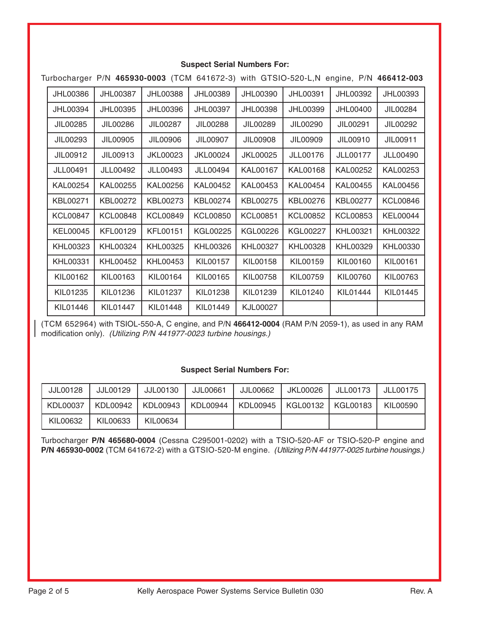#### **Suspect Serial Numbers For:**

Turbocharger P/N **465930-0003** (TCM 641672-3) with GTSIO-520-L,N engine, P/N **466412-003**

| JHL00386        | <b>JHL00387</b> | JHL00388        | JHL00389        | JHL00390        | JHL00391        | JHL00392        | JHL00393        |
|-----------------|-----------------|-----------------|-----------------|-----------------|-----------------|-----------------|-----------------|
| <b>JHL00394</b> | <b>JHL00395</b> | JHL00396        | JHL00397        | <b>JHL00398</b> | JHL00399        | JHL00400        | JIL00284        |
| JIL00285        | JIL00286        | JIL00287        | JIL00288        | JIL00289        | JIL00290        | JIL00291        | JIL00292        |
| JIL00293        | JIL00905        | JIL00906        | JIL00907        | JIL00908        | JIL00909        | JIL00910        | JIL00911        |
| JIL00912        | JIL00913        | <b>JKL00023</b> | <b>JKL00024</b> | <b>JKL00025</b> | <b>JLL00176</b> | <b>JLL00177</b> | <b>JLL00490</b> |
| <b>JLL00491</b> | <b>JLL00492</b> | <b>JLL00493</b> | <b>JLL00494</b> | <b>KAL00167</b> | <b>KAL00168</b> | KAL00252        | KAL00253        |
| KAL00254        | KAL00255        | KAL00256        | KAL00452        | KAL00453        | <b>KAL00454</b> | KAL00455        | <b>KAL00456</b> |
| KBL00271        | KBL00272        | KBL00273        | KBL00274        | <b>KBL00275</b> | KBL00276        | KBL00277        | <b>KCL00846</b> |
| <b>KCL00847</b> | <b>KCL00848</b> | <b>KCL00849</b> | <b>KCL00850</b> | <b>KCL00851</b> | KCL00852        | <b>KCL00853</b> | <b>KEL00044</b> |
| <b>KEL00045</b> | <b>KFL00129</b> | <b>KFL00151</b> | KGL00225        | KGL00226        | KGL00227        | <b>KHL00321</b> | <b>KHL00322</b> |
| <b>KHL00323</b> | <b>KHL00324</b> | KHL00325        | KHL00326        | <b>KHL00327</b> | <b>KHL00328</b> | <b>KHL00329</b> | <b>KHL00330</b> |
| <b>KHL00331</b> | <b>KHL00452</b> | KHL00453        | KIL00157        | KIL00158        | KIL00159        | KIL00160        | <b>KIL00161</b> |
| KIL00162        | KIL00163        | KIL00164        | KIL00165        | KIL00758        | KIL00759        | KIL00760        | KIL00763        |
| KIL01235        | KIL01236        | KIL01237        | KIL01238        | KIL01239        | KIL01240        | KIL01444        | KIL01445        |
| KIL01446        | <b>KIL01447</b> | KIL01448        | KIL01449        | <b>KJL00027</b> |                 |                 |                 |

(TCM 652964) with TSIOL-550-A, C engine, and P/N **466412-0004** (RAM P/N 2059-1), as used in any RAM modification only). (Utilizing P/N 441977-0023 turbine housings.)

# **Suspect Serial Numbers For:**

| <b>JJL00128</b> | JJL00129 | JJL00130 | JJL00661 | JJL00662 | JKL00026            | JLL00173 | JLL00175 |
|-----------------|----------|----------|----------|----------|---------------------|----------|----------|
| KDL00037        | KDL00942 | KDL00943 | KDL00944 | KDL00945 | KGL00132   KGL00183 |          | KIL00590 |
| KIL00632        | KIL00633 | KIL00634 |          |          |                     |          |          |

Turbocharger **P/N 465680-0004** (Cessna C295001-0202) with a TSIO-520-AF or TSIO-520-P engine and **P/N 465930-0002** (TCM 641672-2) with a GTSIO-520-M engine. (Utilizing P/N 441977-0025 turbine housings.)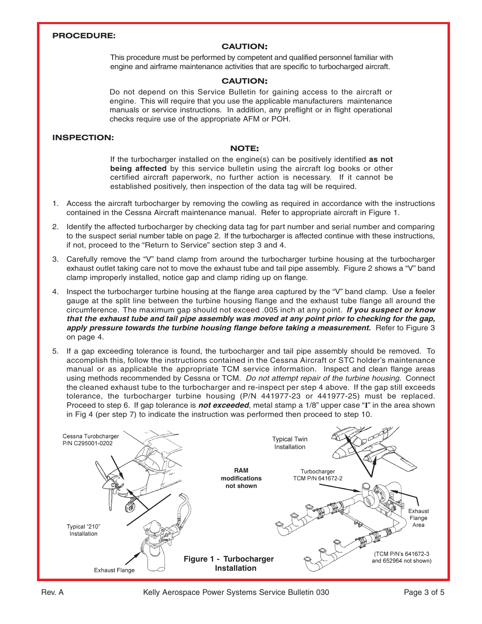#### **PROCEDURE:**

#### **CAUTION:**

This procedure must be performed by competent and qualified personnel familiar with engine and airframe maintenance activities that are specific to turbocharged aircraft.

#### **CAUTION:**

Do not depend on this Service Bulletin for gaining access to the aircraft or engine. This will require that you use the applicable manufacturers maintenance manuals or service instructions. In addition, any preflight or in flight operational checks require use of the appropriate AFM or POH.

#### **INSPECTION:**

#### **NOTE:**

If the turbocharger installed on the engine(s) can be positively identified **as not being affected** by this service bulletin using the aircraft log books or other certified aircraft paperwork, no further action is necessary. If it cannot be established positively, then inspection of the data tag will be required.

- 1. Access the aircraft turbocharger by removing the cowling as required in accordance with the instructions contained in the Cessna Aircraft maintenance manual. Refer to appropriate aircraft in Figure 1.
- 2. Identify the affected turbocharger by checking data tag for part number and serial number and comparing to the suspect serial number table on page 2. If the turbocharger is affected continue with these instructions, if not, proceed to the "Return to Service" section step 3 and 4.
- 3. Carefully remove the "V" band clamp from around the turbocharger turbine housing at the turbocharger exhaust outlet taking care not to move the exhaust tube and tail pipe assembly. Figure 2 shows a "V" band clamp improperly installed, notice gap and clamp riding up on flange.
- 4. Inspect the turbocharger turbine housing at the flange area captured by the "V" band clamp. Use a feeler gauge at the split line between the turbine housing flange and the exhaust tube flange all around the circumference. The maximum gap should not exceed .005 inch at any point. **If you suspect or know that the exhaust tube and tail pipe assembly was moved at any point prior to checking for the gap, apply pressure towards the turbine housing flange before taking a measurement.** Refer to Figure 3 on page 4.
- 5. If a gap exceeding tolerance is found, the turbocharger and tail pipe assembly should be removed. To accomplish this, follow the instructions contained in the Cessna Aircraft or STC holder's maintenance manual or as applicable the appropriate TCM service information. Inspect and clean flange areas using methods recommended by Cessna or TCM. Do not attempt repair of the turbine housing. Connect the cleaned exhaust tube to the turbocharger and re-inspect per step 4 above. If the gap still exceeds tolerance, the turbocharger turbine housing (P/N 441977-23 or 441977-25) must be replaced. Proceed to step 6. If gap tolerance is **not exceeded**, metal stamp a 1/8" upper case "**I**" in the area shown in Fig 4 (per step 7) to indicate the instruction was performed then proceed to step 10.

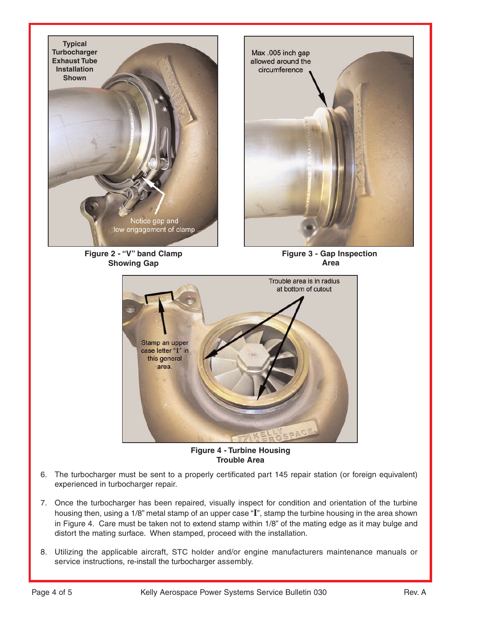

**Figure 2 - "V" band Clamp Showing Gap**



**Figure 3 - Gap Inspection Area**



**Figure 4 - Turbine Housing Trouble Area**

- 6. The turbocharger must be sent to a properly certificated part 145 repair station (or foreign equivalent) experienced in turbocharger repair.
- 7. Once the turbocharger has been repaired, visually inspect for condition and orientation of the turbine housing then, using a 1/8" metal stamp of an upper case "**I**", stamp the turbine housing in the area shown in Figure 4. Care must be taken not to extend stamp within 1/8" of the mating edge as it may bulge and distort the mating surface. When stamped, proceed with the installation.
- 8. Utilizing the applicable aircraft, STC holder and/or engine manufacturers maintenance manuals or service instructions, re-install the turbocharger assembly.